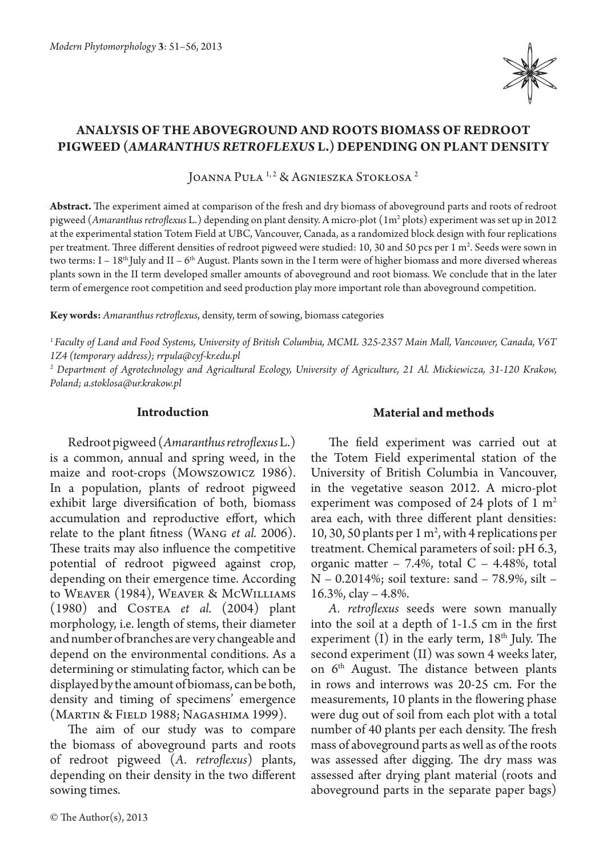

# **Analysis of the aboveground and roots biomass of redroot pigweed (***Amaranthus retroflexus* **L.) depending on plant density**

JOANNA PUŁA <sup>1, 2</sup> & AGNIESZKA STOKŁOSA<sup>2</sup>

**Abstract.** The experiment aimed at comparison of the fresh and dry biomass of aboveground parts and roots of redroot pigweed (*Amaranthus retroflexus* L.) depending on plant density. A micro-plot (1m<sup>2</sup> plots) experiment was set up in 2012 at the experimental station Totem Field at UBC, Vancouver, Canada, as a randomized block design with four replications per treatment. Three different densities of redroot pigweed were studied: 10, 30 and 50 pcs per 1 m². Seeds were sown in two terms:  $I - 18<sup>th</sup>$  July and II – 6<sup>th</sup> August. Plants sown in the I term were of higher biomass and more diversed whereas plants sown in the II term developed smaller amounts of aboveground and root biomass. We conclude that in the later term of emergence root competition and seed production play more important role than aboveground competition.

**Key words:** *Amaranthus retroflexus*, density, term of sowing, biomass categories

*1 Faculty of Land and Food Systems, University of British Columbia, MCML 325-2357 Main Mall, Vancouver, Canada, V6T 1Z4 (temporary address); rrpula@cyf-kr.edu.pl*

*2 Department of Agrotechnology and Agricultural Ecology, University of Agriculture, 21 Al. Mickiewicza, 31-120 Krakow, Poland; a.stoklosa@ur.krakow.pl*

## **Introduction**

Redroot pigweed (*Amaranthus retroflexus* L.) is a common, annual and spring weed, in the maize and root-crops (Mowszowicz 1986). In a population, plants of redroot pigweed exhibit large diversification of both, biomass accumulation and reproductive effort, which relate to the plant fitness (Wang *et al.* 2006). These traits may also influence the competitive potential of redroot pigweed against crop, depending on their emergence time. According to Weaver (1984), Weaver & McWilliams (1980) and Costea *et al.* (2004) plant morphology, i.e. length of stems, their diameter and number of branches are very changeable and depend on the environmental conditions. As a determining or stimulating factor, which can be displayed by the amount of biomass, can be both, density and timing of specimens' emergence (Martin & Field 1988; Nagashima 1999).

The aim of our study was to compare the biomass of aboveground parts and roots of redroot pigweed (*A. retroflexus*) plants, depending on their density in the two different sowing times.

## **Material and methods**

The field experiment was carried out at the Totem Field experimental station of the University of British Columbia in Vancouver, in the vegetative season 2012. A micro-plot experiment was composed of 24 plots of  $1 \text{ m}^2$ area each, with three different plant densities: 10, 30, 50 plants per 1 m<sup>2</sup>, with 4 replications per treatment. Chemical parameters of soil: pH 6.3, organic matter  $-7.4\%$ , total  $C - 4.48\%$ , total N – 0.2014%; soil texture: sand – 78.9%, silt – 16.3%, clay – 4.8%.

*A. retroflexus* seeds were sown manually into the soil at a depth of 1-1.5 cm in the first experiment  $(I)$  in the early term,  $18<sup>th</sup>$  July. The second experiment (II) was sown 4 weeks later, on  $6<sup>th</sup>$  August. The distance between plants in rows and interrows was 20-25 cm. For the measurements, 10 plants in the flowering phase were dug out of soil from each plot with a total number of 40 plants per each density. The fresh mass of aboveground parts as well as of the roots was assessed after digging. The dry mass was assessed after drying plant material (roots and aboveground parts in the separate paper bags)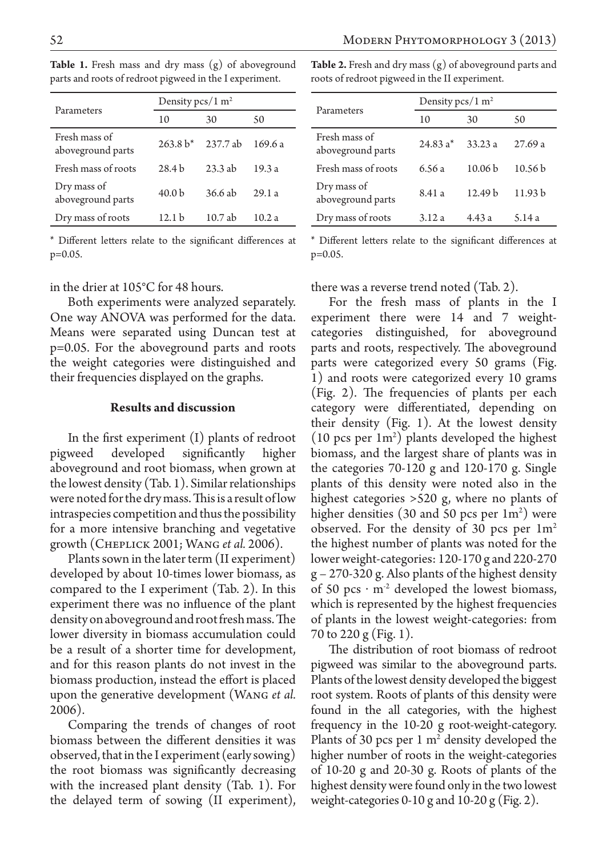| Parameters                         | Density $pcs/1$ m <sup>2</sup> |           |        |
|------------------------------------|--------------------------------|-----------|--------|
|                                    | 10                             | 30        | 50     |
| Fresh mass of<br>aboveground parts | $263.8 h* 237.7 ah$            |           | 169.6a |
| Fresh mass of roots                | 28.4 <sub>b</sub>              | 23.3 ab   | 19.3a  |
| Dry mass of<br>aboveground parts   | 40.0 <sub>b</sub>              | 36.6 ab   | 29.1a  |
| Dry mass of roots                  | 12.1 <sub>b</sub>              | $10.7$ ab | 10.2a  |

**Table 1.** Fresh mass and dry mass (g) of aboveground parts and roots of redroot pigweed in the I experiment.

\* Different letters relate to the significant differences at p=0.05.

#### in the drier at 105°C for 48 hours.

Both experiments were analyzed separately. One way ANOVA was performed for the data. Means were separated using Duncan test at p=0.05. For the aboveground parts and roots the weight categories were distinguished and their frequencies displayed on the graphs.

#### **Results and discussion**

In the first experiment (I) plants of redroot pigweed developed significantly higher aboveground and root biomass, when grown at the lowest density (Tab. 1). Similar relationships were noted for the dry mass. This is a result of low intraspecies competition and thus the possibility for a more intensive branching and vegetative growth (Cheplick 2001; Wang *et al.* 2006).

Plants sown in the later term (II experiment) developed by about 10-times lower biomass, as compared to the I experiment (Tab. 2). In this experiment there was no influence of the plant density on aboveground and root fresh mass. The lower diversity in biomass accumulation could be a result of a shorter time for development, and for this reason plants do not invest in the biomass production, instead the effort is placed upon the generative development (Wang *et al.* 2006).

Comparing the trends of changes of root biomass between the different densities it was observed, that in the I experiment (early sowing) the root biomass was significantly decreasing with the increased plant density (Tab. 1). For the delayed term of sowing (II experiment), **Table 2.** Fresh and dry mass (g) of aboveground parts and roots of redroot pigweed in the II experiment.

| Parameters                         | Density $pcs/1$ m <sup>2</sup> |                    |                    |
|------------------------------------|--------------------------------|--------------------|--------------------|
|                                    | 10                             | 30                 | 50                 |
| Fresh mass of<br>aboveground parts | $24.83 a*$                     | 33.23a             | 27.69a             |
| Fresh mass of roots                | 6.56 a                         | 10.06 <sub>b</sub> | 10.56 <sub>b</sub> |
| Dry mass of<br>aboveground parts   | 8.41 a                         | 12.49 <sub>b</sub> | 11.93 <sub>b</sub> |
| Dry mass of roots                  | 3.12a                          | 4.43a              | 5.14 a             |

\* Different letters relate to the significant differences at p=0.05.

there was a reverse trend noted (Tab. 2).

For the fresh mass of plants in the I experiment there were 14 and 7 weightcategories distinguished, for aboveground parts and roots, respectively. The aboveground parts were categorized every 50 grams (Fig. 1) and roots were categorized every 10 grams (Fig. 2). The frequencies of plants per each category were differentiated, depending on their density (Fig. 1). At the lowest density  $(10 \text{ pcs per } 1\text{m}^2)$  plants developed the highest biomass, and the largest share of plants was in the categories 70-120 g and 120-170 g. Single plants of this density were noted also in the highest categories >520 g, where no plants of higher densities (30 and 50 pcs per  $1m^2$ ) were observed. For the density of 30 pcs per  $1m<sup>2</sup>$ the highest number of plants was noted for the lower weight-categories: 120-170 g and 220-270 g – 270-320 g. Also plants of the highest density of 50 pcs  $\cdot$  m<sup>-2</sup> developed the lowest biomass, which is represented by the highest frequencies of plants in the lowest weight-categories: from 70 to 220 g (Fig. 1).

The distribution of root biomass of redroot pigweed was similar to the aboveground parts. Plants of the lowest density developed the biggest root system. Roots of plants of this density were found in the all categories, with the highest frequency in the 10-20 g root-weight-category. Plants of 30 pcs per  $1 \text{ m}^2$  density developed the higher number of roots in the weight-categories of 10-20 g and 20-30 g. Roots of plants of the highest density were found only in the two lowest weight-categories 0-10 g and 10-20 g (Fig. 2).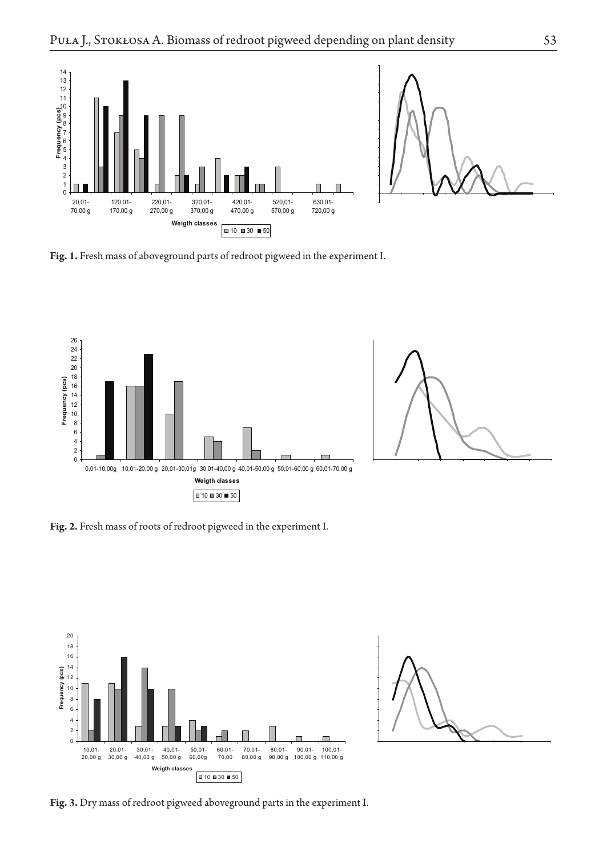

Fig. 1. Fresh mass of aboveground parts of redroot pigweed in the experiment I.





**Fig. 2.** Fresh mass of roots of redroot pigweed in the experiment I.





**Fig. 3.** Dry mass of redroot pigweed aboveground parts in the experiment I.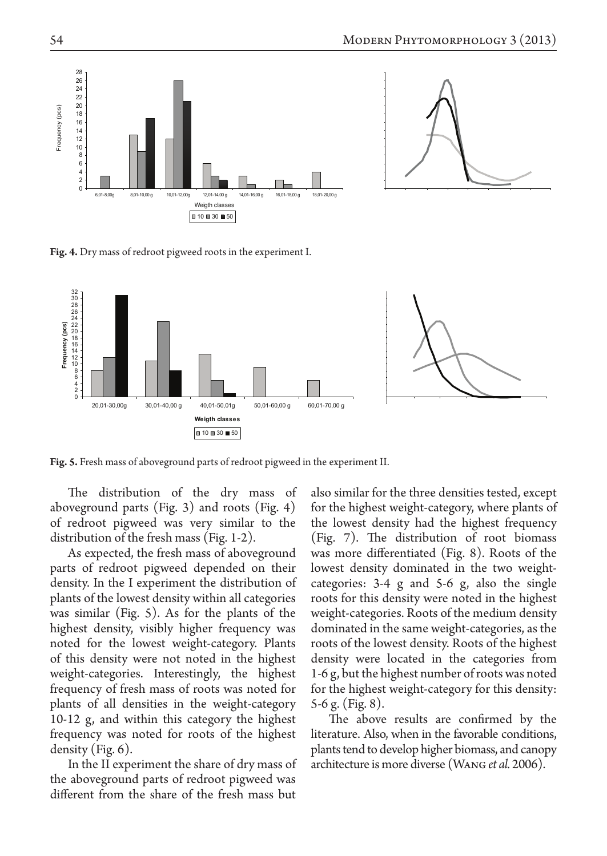



**Fig. 4.** Dry mass of redroot pigweed roots in the experiment I.



**Fig. 5.** Fresh mass of aboveground parts of redroot pigweed in the experiment II.

The distribution of the dry mass of aboveground parts (Fig. 3) and roots (Fig. 4) of redroot pigweed was very similar to the distribution of the fresh mass (Fig. 1-2).

As expected, the fresh mass of aboveground parts of redroot pigweed depended on their density. In the I experiment the distribution of plants of the lowest density within all categories was similar (Fig. 5). As for the plants of the highest density, visibly higher frequency was noted for the lowest weight-category. Plants of this density were not noted in the highest weight-categories. Interestingly, the highest frequency of fresh mass of roots was noted for plants of all densities in the weight-category 10-12 g, and within this category the highest frequency was noted for roots of the highest density (Fig. 6).

In the II experiment the share of dry mass of the aboveground parts of redroot pigweed was different from the share of the fresh mass but

also similar for the three densities tested, except for the highest weight-category, where plants of the lowest density had the highest frequency (Fig. 7). The distribution of root biomass was more differentiated (Fig. 8). Roots of the lowest density dominated in the two weightcategories: 3-4 g and 5-6 g, also the single roots for this density were noted in the highest weight-categories. Roots of the medium density dominated in the same weight-categories, as the roots of the lowest density. Roots of the highest density were located in the categories from 1-6 g, but the highest number of roots was noted for the highest weight-category for this density: 5-6 g. (Fig. 8).

The above results are confirmed by the literature. Also, when in the favorable conditions, plants tend to develop higher biomass, and canopy architecture is more diverse (Wang *et al.* 2006).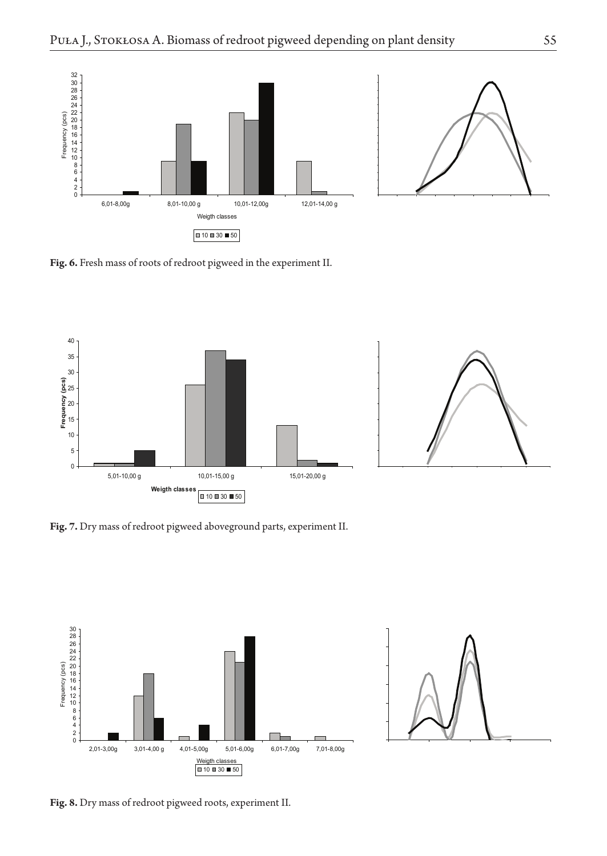



**Fig. 6.** Fresh mass of roots of redroot pigweed in the experiment II.





**Fig. 7.** Dry mass of redroot pigweed aboveground parts, experiment II.





**Fig. 8.** Dry mass of redroot pigweed roots, experiment II.